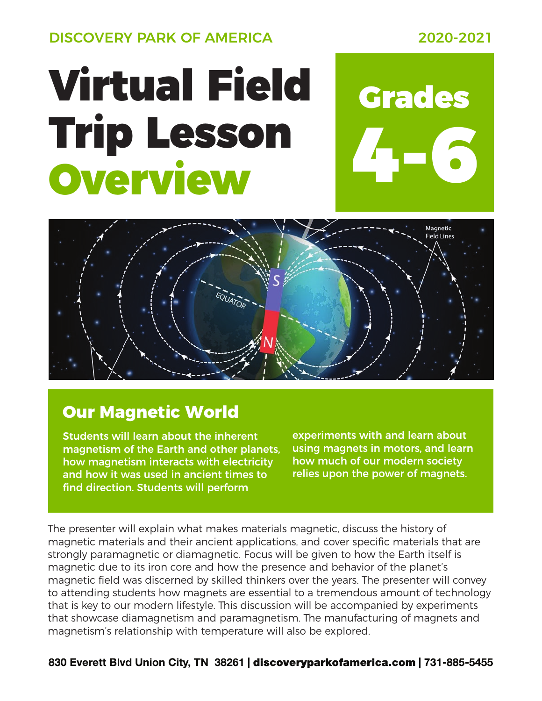DISCOVERY PARK OF AMERICA 2020-2021

## Virtual Field Grades Trip Lesson Overview





## **Our Magnetic World**

Students will learn about the inherent magnetism of the Earth and other planets, how magnetism interacts with electricity and how it was used in ancient times to find direction. Students will perform

experiments with and learn about using magnets in motors, and learn how much of our modern society relies upon the power of magnets.

The presenter will explain what makes materials magnetic, discuss the history of magnetic materials and their ancient applications, and cover specific materials that are strongly paramagnetic or diamagnetic. Focus will be given to how the Earth itself is magnetic due to its iron core and how the presence and behavior of the planet's magnetic field was discerned by skilled thinkers over the years. The presenter will convey to attending students how magnets are essential to a tremendous amount of technology that is key to our modern lifestyle. This discussion will be accompanied by experiments that showcase diamagnetism and paramagnetism. The manufacturing of magnets and magnetism's relationship with temperature will also be explored.